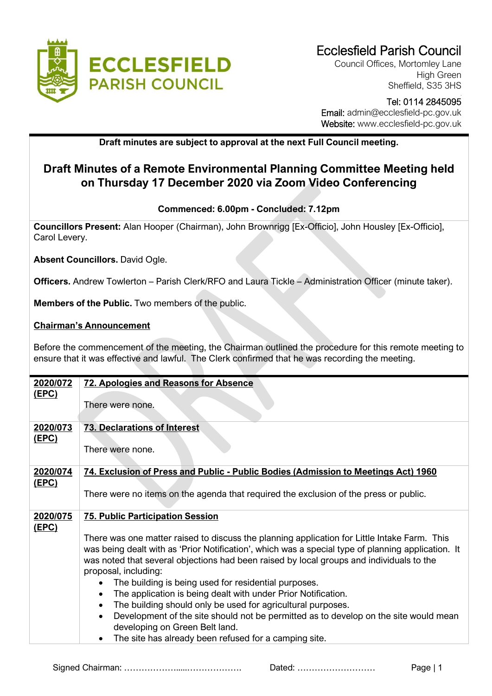

Council Offices, Mortomley Lane High Green Sheffield, S35 3HS

## Tel: 0114 2845095 Email: admin@ecclesfield-pc.gov.uk Website: www.ecclesfield-pc.gov.uk

## **Draft minutes are subject to approval at the next Full Council meeting.**

# **Draft Minutes of a Remote Environmental Planning Committee Meeting held on Thursday 17 December 2020 via Zoom Video Conferencing**

### **Commenced: 6.00pm - Concluded: 7.12pm**

**Councillors Present:** Alan Hooper (Chairman), John Brownrigg [Ex-Officio], John Housley [Ex-Officio], Carol Levery.

**Absent Councillors.** David Ogle.

**Officers.** Andrew Towlerton – Parish Clerk/RFO and Laura Tickle – Administration Officer (minute taker).

**Members of the Public.** Two members of the public.

#### **Chairman's Announcement**

Before the commencement of the meeting, the Chairman outlined the procedure for this remote meeting to ensure that it was effective and lawful. The Clerk confirmed that he was recording the meeting.

| 2020/072                 | <b>72. Apologies and Reasons for Absence</b>                                                                                                                                                                                                                                                                           |
|--------------------------|------------------------------------------------------------------------------------------------------------------------------------------------------------------------------------------------------------------------------------------------------------------------------------------------------------------------|
| <u>(EPC)</u>             | There were none.                                                                                                                                                                                                                                                                                                       |
| 2020/073<br>(EPC)        | <b>73. Declarations of Interest</b>                                                                                                                                                                                                                                                                                    |
|                          | There were none.                                                                                                                                                                                                                                                                                                       |
| 2020/074<br><u>(EPC)</u> | 74. Exclusion of Press and Public - Public Bodies (Admission to Meetings Act) 1960                                                                                                                                                                                                                                     |
|                          | There were no items on the agenda that required the exclusion of the press or public.                                                                                                                                                                                                                                  |
| 2020/075<br><u>(EPC)</u> | <b>75. Public Participation Session</b>                                                                                                                                                                                                                                                                                |
|                          | There was one matter raised to discuss the planning application for Little Intake Farm. This<br>was being dealt with as 'Prior Notification', which was a special type of planning application. It<br>was noted that several objections had been raised by local groups and individuals to the<br>proposal, including: |
|                          | The building is being used for residential purposes.                                                                                                                                                                                                                                                                   |
|                          | The application is being dealt with under Prior Notification.<br>$\bullet$<br>The building should only be used for agricultural purposes.<br>$\bullet$                                                                                                                                                                 |
|                          | Development of the site should not be permitted as to develop on the site would mean<br>$\bullet$<br>developing on Green Belt land.                                                                                                                                                                                    |
|                          | The site has already been refused for a camping site.<br>٠                                                                                                                                                                                                                                                             |

Signed Chairman: ……………….....………………. Dated: ……………………… Page | 1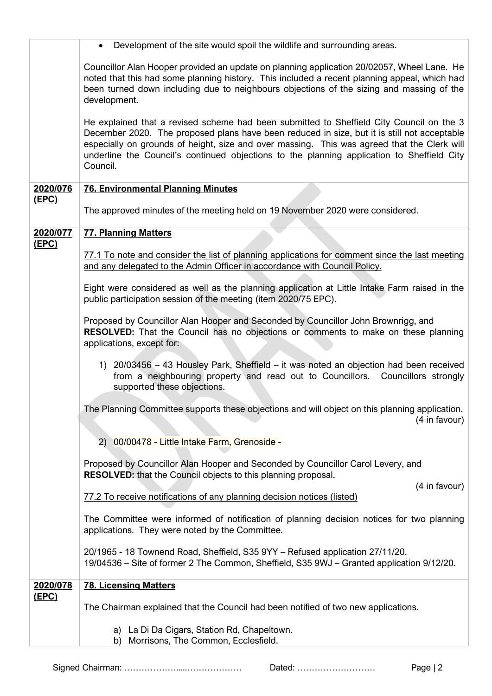|                          | Development of the site would spoil the wildlife and surrounding areas.                                                                                                                                                                                                                                                                                                                          |
|--------------------------|--------------------------------------------------------------------------------------------------------------------------------------------------------------------------------------------------------------------------------------------------------------------------------------------------------------------------------------------------------------------------------------------------|
|                          | Councillor Alan Hooper provided an update on planning application 20/02057, Wheel Lane. He<br>noted that this had some planning history. This included a recent planning appeal, which had<br>been turned down including due to neighbours objections of the sizing and massing of the<br>development.                                                                                           |
|                          | He explained that a revised scheme had been submitted to Sheffield City Council on the 3<br>December 2020. The proposed plans have been reduced in size, but it is still not acceptable<br>especially on grounds of height, size and over massing. This was agreed that the Clerk will<br>underline the Council's continued objections to the planning application to Sheffield City<br>Council. |
| 2020/076                 | <b>76. Environmental Planning Minutes</b>                                                                                                                                                                                                                                                                                                                                                        |
| <u>(EPC)</u>             | The approved minutes of the meeting held on 19 November 2020 were considered.                                                                                                                                                                                                                                                                                                                    |
| 2020/077<br><u>(EPC)</u> | <b>77. Planning Matters</b>                                                                                                                                                                                                                                                                                                                                                                      |
|                          | 77.1 To note and consider the list of planning applications for comment since the last meeting<br>and any delegated to the Admin Officer in accordance with Council Policy.                                                                                                                                                                                                                      |
|                          | Eight were considered as well as the planning application at Little Intake Farm raised in the<br>public participation session of the meeting (item 2020/75 EPC).                                                                                                                                                                                                                                 |
|                          | Proposed by Councillor Alan Hooper and Seconded by Councillor John Brownrigg, and<br>RESOLVED: That the Council has no objections or comments to make on these planning<br>applications, except for:                                                                                                                                                                                             |
|                          | 1) 20/03456 - 43 Housley Park, Sheffield - it was noted an objection had been received<br>from a neighbouring property and read out to Councillors. Councillors strongly<br>supported these objections.                                                                                                                                                                                          |
|                          | The Planning Committee supports these objections and will object on this planning application.<br>(4 in favour)                                                                                                                                                                                                                                                                                  |
|                          | 00/00478 - Little Intake Farm, Grenoside -<br>2)                                                                                                                                                                                                                                                                                                                                                 |
|                          | Proposed by Councillor Alan Hooper and Seconded by Councillor Carol Levery, and<br><b>RESOLVED:</b> that the Council objects to this planning proposal.                                                                                                                                                                                                                                          |
|                          | (4 in favour)<br>77.2 To receive notifications of any planning decision notices (listed)                                                                                                                                                                                                                                                                                                         |
|                          | The Committee were informed of notification of planning decision notices for two planning<br>applications. They were noted by the Committee.                                                                                                                                                                                                                                                     |
|                          | 20/1965 - 18 Townend Road, Sheffield, S35 9YY - Refused application 27/11/20.<br>19/04536 – Site of former 2 The Common, Sheffield, S35 9WJ – Granted application 9/12/20.                                                                                                                                                                                                                       |
| 2020/078<br><u>(EPC)</u> | <b>78. Licensing Matters</b>                                                                                                                                                                                                                                                                                                                                                                     |
|                          | The Chairman explained that the Council had been notified of two new applications.                                                                                                                                                                                                                                                                                                               |
|                          | a) La Di Da Cigars, Station Rd, Chapeltown.<br>Morrisons, The Common, Ecclesfield.<br>b)                                                                                                                                                                                                                                                                                                         |